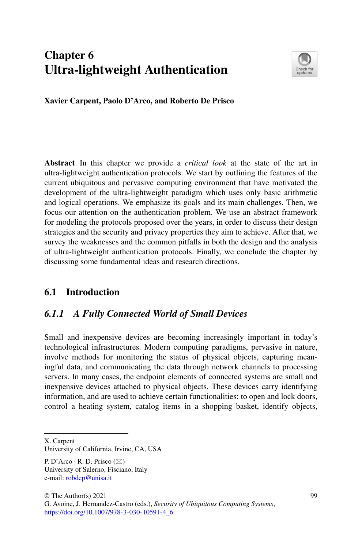# **Chapter 6 Ultra-lightweight Authentication**



**Xavier Carpent, Paolo D'Arco, and Roberto De Prisco**

**Abstract** In this chapter we provide a *critical look* at the state of the art in ultra-lightweight authentication protocols. We start by outlining the features of the current ubiquitous and pervasive computing environment that have motivated the development of the ultra-lightweight paradigm which uses only basic arithmetic and logical operations. We emphasize its goals and its main challenges. Then, we focus our attention on the authentication problem. We use an abstract framework for modeling the protocols proposed over the years, in order to discuss their design strategies and the security and privacy properties they aim to achieve. After that, we survey the weaknesses and the common pitfalls in both the design and the analysis of ultra-lightweight authentication protocols. Finally, we conclude the chapter by discussing some fundamental ideas and research directions.

# **6.1 Introduction**

# *6.1.1 A Fully Connected World of Small Devices*

Small and inexpensive devices are becoming increasingly important in today's technological infrastructures. Modern computing paradigms, pervasive in nature, involve methods for monitoring the status of physical objects, capturing meaningful data, and communicating the data through network channels to processing servers. In many cases, the endpoint elements of connected systems are small and inexpensive devices attached to physical objects. These devices carry identifying information, and are used to achieve certain functionalities: to open and lock doors, control a heating system, catalog items in a shopping basket, identify objects,

X. Carpent

P. D'Arco · R. D. Prisco ( $\boxtimes$ ) University of Salerno, Fisciano, Italy e-mail: [robdep@unisa.it](mailto:robdep@unisa.it)

University of California, Irvine, CA, USA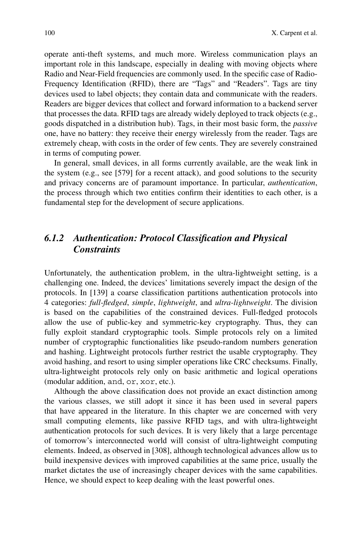operate anti-theft systems, and much more. Wireless communication plays an important role in this landscape, especially in dealing with moving objects where Radio and Near-Field frequencies are commonly used. In the specific case of Radio-Frequency Identification (RFID), there are "Tags" and "Readers". Tags are tiny devices used to label objects; they contain data and communicate with the readers. Readers are bigger devices that collect and forward information to a backend server that processes the data. RFID tags are already widely deployed to track objects (e.g., goods dispatched in a distribution hub). Tags, in their most basic form, the *passive* one, have no battery: they receive their energy wirelessly from the reader. Tags are extremely cheap, with costs in the order of few cents. They are severely constrained in terms of computing power.

In general, small devices, in all forms currently available, are the weak link in the system (e.g., see [579] for a recent attack), and good solutions to the security and privacy concerns are of paramount importance. In particular, *authentication*, the process through which two entities confirm their identities to each other, is a fundamental step for the development of secure applications.

# *6.1.2 Authentication: Protocol Classification and Physical Constraints*

Unfortunately, the authentication problem, in the ultra-lightweight setting, is a challenging one. Indeed, the devices' limitations severely impact the design of the protocols. In [139] a coarse classification partitions authentication protocols into 4 categories: *full-fledged*, *simple*, *lightweight*, and *ultra-lightweight*. The division is based on the capabilities of the constrained devices. Full-fledged protocols allow the use of public-key and symmetric-key cryptography. Thus, they can fully exploit standard cryptographic tools. Simple protocols rely on a limited number of cryptographic functionalities like pseudo-random numbers generation and hashing. Lightweight protocols further restrict the usable cryptography. They avoid hashing, and resort to using simpler operations like CRC checksums. Finally, ultra-lightweight protocols rely only on basic arithmetic and logical operations (modular addition, and, or, xor, etc.).

Although the above classification does not provide an exact distinction among the various classes, we still adopt it since it has been used in several papers that have appeared in the literature. In this chapter we are concerned with very small computing elements, like passive RFID tags, and with ultra-lightweight authentication protocols for such devices. It is very likely that a large percentage of tomorrow's interconnected world will consist of ultra-lightweight computing elements. Indeed, as observed in [308], although technological advances allow us to build inexpensive devices with improved capabilities at the same price, usually the market dictates the use of increasingly cheaper devices with the same capabilities. Hence, we should expect to keep dealing with the least powerful ones.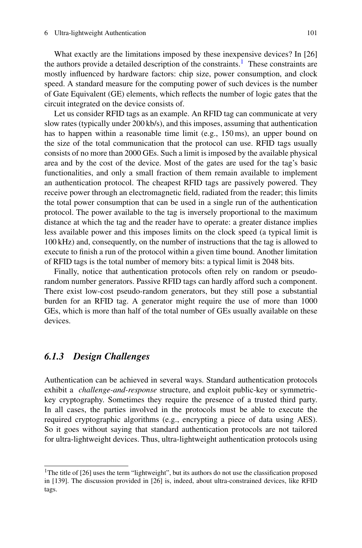What exactly are the limitations imposed by these inexpensive devices? In [26] the authors provide a detailed description of the constraints.<sup>[1](#page-2-0)</sup> These constraints are mostly influenced by hardware factors: chip size, power consumption, and clock speed. A standard measure for the computing power of such devices is the number of Gate Equivalent (GE) elements, which reflects the number of logic gates that the circuit integrated on the device consists of.

Let us consider RFID tags as an example. An RFID tag can communicate at very slow rates (typically under 200 kb/s), and this imposes, assuming that authentication has to happen within a reasonable time limit (e.g.,  $150 \text{ ms}$ ), an upper bound on the size of the total communication that the protocol can use. RFID tags usually consists of no more than 2000 GEs. Such a limit is imposed by the available physical area and by the cost of the device. Most of the gates are used for the tag's basic functionalities, and only a small fraction of them remain available to implement an authentication protocol. The cheapest RFID tags are passively powered. They receive power through an electromagnetic field, radiated from the reader; this limits the total power consumption that can be used in a single run of the authentication protocol. The power available to the tag is inversely proportional to the maximum distance at which the tag and the reader have to operate: a greater distance implies less available power and this imposes limits on the clock speed (a typical limit is 100 kHz) and, consequently, on the number of instructions that the tag is allowed to execute to finish a run of the protocol within a given time bound. Another limitation of RFID tags is the total number of memory bits: a typical limit is 2048 bits.

Finally, notice that authentication protocols often rely on random or pseudorandom number generators. Passive RFID tags can hardly afford such a component. There exist low-cost pseudo-random generators, but they still pose a substantial burden for an RFID tag. A generator might require the use of more than 1000 GEs, which is more than half of the total number of GEs usually available on these devices.

# *6.1.3 Design Challenges*

Authentication can be achieved in several ways. Standard authentication protocols exhibit a *challenge-and-response* structure, and exploit public-key or symmetrickey cryptography. Sometimes they require the presence of a trusted third party. In all cases, the parties involved in the protocols must be able to execute the required cryptographic algorithms (e.g., encrypting a piece of data using AES). So it goes without saying that standard authentication protocols are not tailored for ultra-lightweight devices. Thus, ultra-lightweight authentication protocols using

<span id="page-2-0"></span><sup>&</sup>lt;sup>1</sup>The title of [26] uses the term "lightweight", but its authors do not use the classification proposed in [139]. The discussion provided in [26] is, indeed, about ultra-constrained devices, like RFID tags.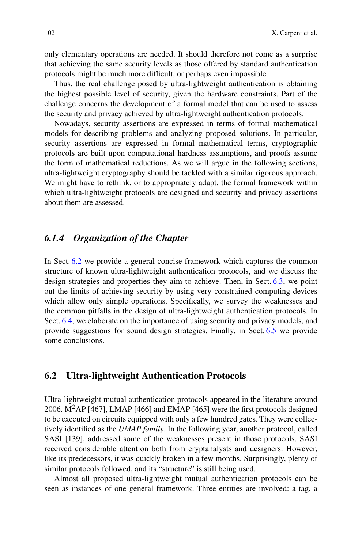only elementary operations are needed. It should therefore not come as a surprise that achieving the same security levels as those offered by standard authentication protocols might be much more difficult, or perhaps even impossible.

Thus, the real challenge posed by ultra-lightweight authentication is obtaining the highest possible level of security, given the hardware constraints. Part of the challenge concerns the development of a formal model that can be used to assess the security and privacy achieved by ultra-lightweight authentication protocols.

Nowadays, security assertions are expressed in terms of formal mathematical models for describing problems and analyzing proposed solutions. In particular, security assertions are expressed in formal mathematical terms, cryptographic protocols are built upon computational hardness assumptions, and proofs assume the form of mathematical reductions. As we will argue in the following sections, ultra-lightweight cryptography should be tackled with a similar rigorous approach. We might have to rethink, or to appropriately adapt, the formal framework within which ultra-lightweight protocols are designed and security and privacy assertions about them are assessed.

## *6.1.4 Organization of the Chapter*

In Sect. [6.2](#page-3-0) we provide a general concise framework which captures the common structure of known ultra-lightweight authentication protocols, and we discuss the design strategies and properties they aim to achieve. Then, in Sect. [6.3,](#page-7-0) we point out the limits of achieving security by using very constrained computing devices which allow only simple operations. Specifically, we survey the weaknesses and the common pitfalls in the design of ultra-lightweight authentication protocols. In Sect. [6.4,](#page-11-0) we elaborate on the importance of using security and privacy models, and provide suggestions for sound design strategies. Finally, in Sect. [6.5](#page-13-0) we provide some conclusions.

### <span id="page-3-0"></span>**6.2 Ultra-lightweight Authentication Protocols**

Ultra-lightweight mutual authentication protocols appeared in the literature around 2006.  $M^2AP$  [467], LMAP [466] and EMAP [465] were the first protocols designed to be executed on circuits equipped with only a few hundred gates. They were collectively identified as the *UMAP family*. In the following year, another protocol, called SASI [139], addressed some of the weaknesses present in those protocols. SASI received considerable attention both from cryptanalysts and designers. However, like its predecessors, it was quickly broken in a few months. Surprisingly, plenty of similar protocols followed, and its "structure" is still being used.

Almost all proposed ultra-lightweight mutual authentication protocols can be seen as instances of one general framework. Three entities are involved: a tag, a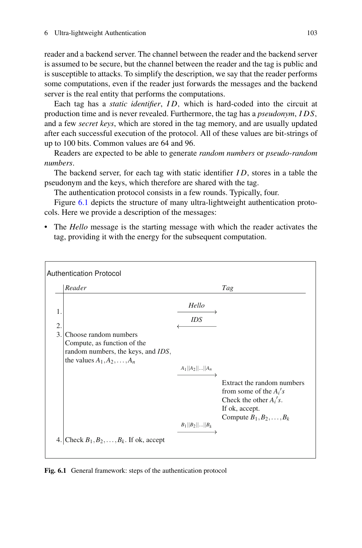reader and a backend server. The channel between the reader and the backend server is assumed to be secure, but the channel between the reader and the tag is public and is susceptible to attacks. To simplify the description, we say that the reader performs some computations, even if the reader just forwards the messages and the backend server is the real entity that performs the computations.

Each tag has a *static identifier*, *ID,* which is hard-coded into the circuit at production time and is never revealed. Furthermore, the tag has a *pseudonym*, *IDS,* and a few *secret keys*, which are stored in the tag memory, and are usually updated after each successful execution of the protocol. All of these values are bit-strings of up to 100 bits. Common values are 64 and 96.

Readers are expected to be able to generate *random numbers* or *pseudo-random numbers*.

The backend server, for each tag with static identifier *ID*, stores in a table the pseudonym and the keys, which therefore are shared with the tag.

The authentication protocol consists in a few rounds. Typically, four.

Figure [6.1](#page-4-0) depicts the structure of many ultra-lightweight authentication protocols. Here we provide a description of the messages:

• The *Hello* message is the starting message with which the reader activates the tag, providing it with the energy for the subsequent computation.

|          | Reader                                                                                                                           |                   | Tag                                                                                                    |
|----------|----------------------------------------------------------------------------------------------------------------------------------|-------------------|--------------------------------------------------------------------------------------------------------|
| 1.<br>2. |                                                                                                                                  | Hello<br>IDS      |                                                                                                        |
| 3.       | Choose random numbers<br>Compute, as function of the<br>random numbers, the keys, and IDS,<br>the values $A_1, A_2, \ldots, A_n$ |                   |                                                                                                        |
|          |                                                                                                                                  | $A_1  A_2    A_n$ | Extract the random numbers<br>from some of the $A_i$ 's<br>Check the other $A_i$ 's.<br>If ok, accept. |
|          |                                                                                                                                  | $B_1  B_2    B_k$ | Compute $B_1, B_2, \ldots, B_k$                                                                        |

<span id="page-4-0"></span>**Fig. 6.1** General framework: steps of the authentication protocol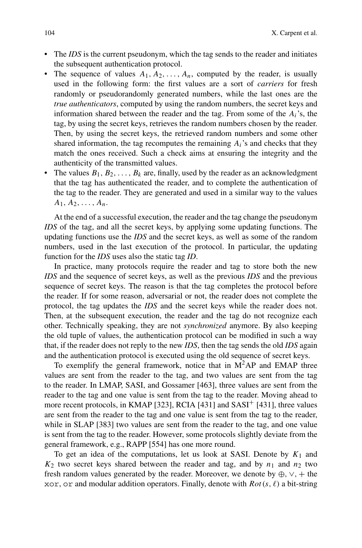- The *IDS* is the current pseudonym, which the tag sends to the reader and initiates the subsequent authentication protocol.
- The sequence of values  $A_1, A_2, \ldots, A_n$ , computed by the reader, is usually used in the following form: the first values are a sort of *carriers* for fresh randomly or pseudorandomly generated numbers, while the last ones are the *true authenticators*, computed by using the random numbers, the secret keys and information shared between the reader and the tag. From some of the *Ai*'s, the tag, by using the secret keys, retrieves the random numbers chosen by the reader. Then, by using the secret keys, the retrieved random numbers and some other shared information, the tag recomputes the remaining *Ai*'s and checks that they match the ones received. Such a check aims at ensuring the integrity and the authenticity of the transmitted values.
- The values  $B_1, B_2, \ldots, B_k$  are, finally, used by the reader as an acknowledgment that the tag has authenticated the reader, and to complete the authentication of the tag to the reader. They are generated and used in a similar way to the values  $A_1, A_2, \ldots, A_n$ .

At the end of a successful execution, the reader and the tag change the pseudonym *IDS* of the tag, and all the secret keys, by applying some updating functions. The updating functions use the *IDS* and the secret keys, as well as some of the random numbers, used in the last execution of the protocol. In particular, the updating function for the *IDS* uses also the static tag *ID*.

In practice, many protocols require the reader and tag to store both the new *IDS* and the sequence of secret keys, as well as the previous *IDS* and the previous sequence of secret keys. The reason is that the tag completes the protocol before the reader. If for some reason, adversarial or not, the reader does not complete the protocol, the tag updates the *IDS* and the secret keys while the reader does not. Then, at the subsequent execution, the reader and the tag do not recognize each other. Technically speaking, they are not *synchronized* anymore. By also keeping the old tuple of values, the authentication protocol can be modified in such a way that, if the reader does not reply to the new *IDS*, then the tag sends the old *IDS* again and the authentication protocol is executed using the old sequence of secret keys.

To exemplify the general framework, notice that in  $M^2AP$  and EMAP three values are sent from the reader to the tag, and two values are sent from the tag to the reader. In LMAP, SASI, and Gossamer [463], three values are sent from the reader to the tag and one value is sent from the tag to the reader. Moving ahead to more recent protocols, in KMAP [323], RCIA [431] and SASI<sup>+</sup> [431], three values are sent from the reader to the tag and one value is sent from the tag to the reader, while in SLAP [383] two values are sent from the reader to the tag, and one value is sent from the tag to the reader. However, some protocols slightly deviate from the general framework, e.g., RAPP [554] has one more round.

To get an idea of the computations, let us look at SASI. Denote by  $K_1$  and  $K_2$  two secret keys shared between the reader and tag, and by  $n_1$  and  $n_2$  two fresh random values generated by the reader. Moreover, we denote by <sup>⊕</sup>*,* <sup>∨</sup>*,* <sup>+</sup> the xor, or and modular addition operators. Finally, denote with  $Rot(s, l)$  a bit-string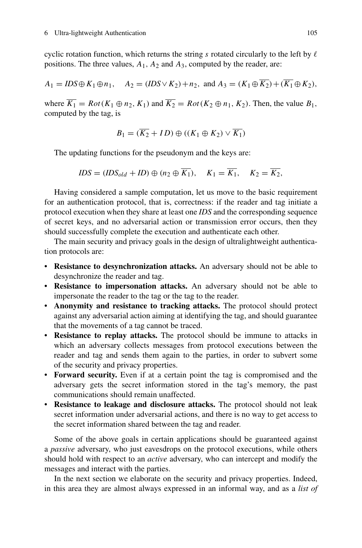cyclic rotation function, which returns the string  $s$  rotated circularly to the left by  $\ell$ positions. The three values, *A*1*, A*<sup>2</sup> and *A*3, computed by the reader, are:

$$
A_1 = IDS \oplus K_1 \oplus n_1, \quad A_2 = (IDS \vee K_2) + n_2, \text{ and } A_3 = (K_1 \oplus \overline{K_2}) + (\overline{K_1} \oplus K_2),
$$

where  $\overline{K_1} = Rot(K_1 \oplus n_2, K_1)$  and  $\overline{K_2} = Rot(K_2 \oplus n_1, K_2)$ . Then, the value  $B_1$ , computed by the tag, is

$$
B_1 = (\overline{K_2} + ID) \oplus ((K_1 \oplus K_2) \vee \overline{K_1})
$$

The updating functions for the pseudonym and the keys are:

$$
IDS = (IDS_{old} + ID) \oplus (n_2 \oplus \overline{K_1}), \quad K_1 = \overline{K_1}, \quad K_2 = \overline{K_2},
$$

Having considered a sample computation, let us move to the basic requirement for an authentication protocol, that is, correctness: if the reader and tag initiate a protocol execution when they share at least one *IDS* and the corresponding sequence of secret keys, and no adversarial action or transmission error occurs, then they should successfully complete the execution and authenticate each other.

The main security and privacy goals in the design of ultralightweight authentication protocols are:

- **Resistance to desynchronization attacks.** An adversary should not be able to desynchronize the reader and tag.
- **Resistance to impersonation attacks.** An adversary should not be able to impersonate the reader to the tag or the tag to the reader.
- **Anonymity and resistance to tracking attacks.** The protocol should protect against any adversarial action aiming at identifying the tag, and should guarantee that the movements of a tag cannot be traced.
- **Resistance to replay attacks.** The protocol should be immune to attacks in which an adversary collects messages from protocol executions between the reader and tag and sends them again to the parties, in order to subvert some of the security and privacy properties.
- **Forward security.** Even if at a certain point the tag is compromised and the adversary gets the secret information stored in the tag's memory, the past communications should remain unaffected.
- **Resistance to leakage and disclosure attacks.** The protocol should not leak secret information under adversarial actions, and there is no way to get access to the secret information shared between the tag and reader.

Some of the above goals in certain applications should be guaranteed against a *passive* adversary, who just eavesdrops on the protocol executions, while others should hold with respect to an *active* adversary, who can intercept and modify the messages and interact with the parties.

In the next section we elaborate on the security and privacy properties. Indeed, in this area they are almost always expressed in an informal way, and as a *list of*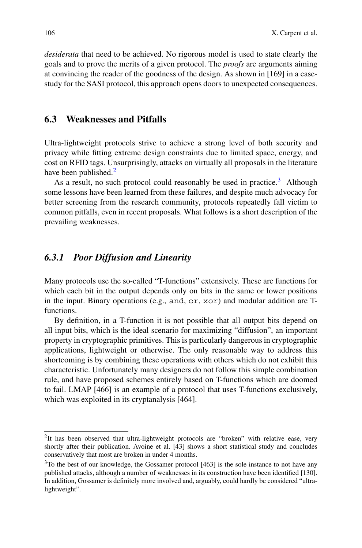*desiderata* that need to be achieved. No rigorous model is used to state clearly the goals and to prove the merits of a given protocol. The *proofs* are arguments aiming at convincing the reader of the goodness of the design. As shown in [169] in a casestudy for the SASI protocol, this approach opens doors to unexpected consequences.

#### <span id="page-7-0"></span>**6.3 Weaknesses and Pitfalls**

Ultra-lightweight protocols strive to achieve a strong level of both security and privacy while fitting extreme design constraints due to limited space, energy, and cost on RFID tags. Unsurprisingly, attacks on virtually all proposals in the literature have been published. $<sup>2</sup>$  $<sup>2</sup>$  $<sup>2</sup>$ </sup>

As a result, no such protocol could reasonably be used in practice.<sup>[3](#page-7-2)</sup> Although some lessons have been learned from these failures, and despite much advocacy for better screening from the research community, protocols repeatedly fall victim to common pitfalls, even in recent proposals. What follows is a short description of the prevailing weaknesses.

## *6.3.1 Poor Diffusion and Linearity*

Many protocols use the so-called "T-functions" extensively. These are functions for which each bit in the output depends only on bits in the same or lower positions in the input. Binary operations (e.g., and,  $\sigma r$ ,  $\sigma \sigma r$ ) and modular addition are Tfunctions.

By definition, in a T-function it is not possible that all output bits depend on all input bits, which is the ideal scenario for maximizing "diffusion", an important property in cryptographic primitives. This is particularly dangerous in cryptographic applications, lightweight or otherwise. The only reasonable way to address this shortcoming is by combining these operations with others which do not exhibit this characteristic. Unfortunately many designers do not follow this simple combination rule, and have proposed schemes entirely based on T-functions which are doomed to fail. LMAP [466] is an example of a protocol that uses T-functions exclusively, which was exploited in its cryptanalysis [464].

<span id="page-7-1"></span><sup>2</sup>It has been observed that ultra-lightweight protocols are "broken" with relative ease, very shortly after their publication. Avoine et al. [43] shows a short statistical study and concludes conservatively that most are broken in under 4 months.

<span id="page-7-2"></span><sup>&</sup>lt;sup>3</sup>To the best of our knowledge, the Gossamer protocol [463] is the sole instance to not have any published attacks, although a number of weaknesses in its construction have been identified [130]. In addition, Gossamer is definitely more involved and, arguably, could hardly be considered "ultralightweight".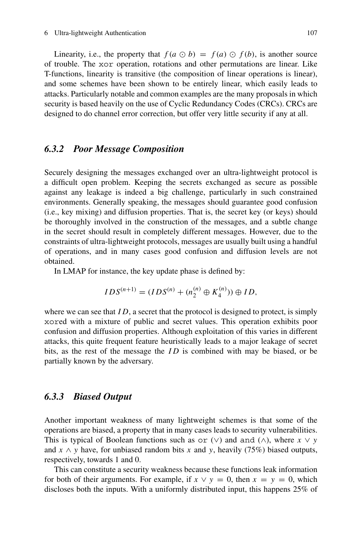Linearity, i.e., the property that  $f(a \odot b) = f(a) \odot f(b)$ , is another source of trouble. The xor operation, rotations and other permutations are linear. Like T-functions, linearity is transitive (the composition of linear operations is linear), and some schemes have been shown to be entirely linear, which easily leads to attacks. Particularly notable and common examples are the many proposals in which security is based heavily on the use of Cyclic Redundancy Codes (CRCs). CRCs are designed to do channel error correction, but offer very little security if any at all.

#### *6.3.2 Poor Message Composition*

Securely designing the messages exchanged over an ultra-lightweight protocol is a difficult open problem. Keeping the secrets exchanged as secure as possible against any leakage is indeed a big challenge, particularly in such constrained environments. Generally speaking, the messages should guarantee good confusion (i.e., key mixing) and diffusion properties. That is, the secret key (or keys) should be thoroughly involved in the construction of the messages, and a subtle change in the secret should result in completely different messages. However, due to the constraints of ultra-lightweight protocols, messages are usually built using a handful of operations, and in many cases good confusion and diffusion levels are not obtained.

In LMAP for instance, the key update phase is defined by:

$$
IDS^{(n+1)} = (IDS^{(n)} + (n_2^{(n)} \oplus K_4^{(n)})) \oplus ID,
$$

where we can see that *ID*, a secret that the protocol is designed to protect, is simply xored with a mixture of public and secret values. This operation exhibits poor confusion and diffusion properties. Although exploitation of this varies in different attacks, this quite frequent feature heuristically leads to a major leakage of secret bits, as the rest of the message the *ID* is combined with may be biased, or be partially known by the adversary.

## *6.3.3 Biased Output*

Another important weakness of many lightweight schemes is that some of the operations are biased, a property that in many cases leads to security vulnerabilities. This is typical of Boolean functions such as or  $(\vee)$  and and  $(\wedge)$ , where  $x \vee y$ and  $x \wedge y$  have, for unbiased random bits x and y, heavily (75%) biased outputs, respectively, towards 1 and 0.

This can constitute a security weakness because these functions leak information for both of their arguments. For example, if  $x \vee y = 0$ , then  $x = y = 0$ , which discloses both the inputs. With a uniformly distributed input, this happens 25% of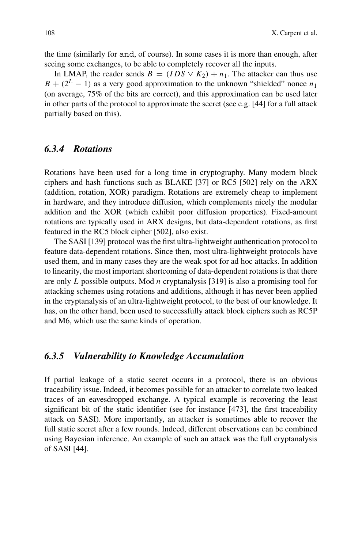the time (similarly for and, of course). In some cases it is more than enough, after seeing some exchanges, to be able to completely recover all the inputs.

In LMAP, the reader sends  $B = (IDS \vee K_2) + n_1$ . The attacker can thus use  $B + (2^L - 1)$  as a very good approximation to the unknown "shielded" nonce  $n_1$ (on average, 75% of the bits are correct), and this approximation can be used later in other parts of the protocol to approximate the secret (see e.g. [44] for a full attack partially based on this).

#### *6.3.4 Rotations*

Rotations have been used for a long time in cryptography. Many modern block ciphers and hash functions such as BLAKE [37] or RC5 [502] rely on the ARX (addition, rotation, XOR) paradigm. Rotations are extremely cheap to implement in hardware, and they introduce diffusion, which complements nicely the modular addition and the XOR (which exhibit poor diffusion properties). Fixed-amount rotations are typically used in ARX designs, but data-dependent rotations, as first featured in the RC5 block cipher [502], also exist.

The SASI [139] protocol was the first ultra-lightweight authentication protocol to feature data-dependent rotations. Since then, most ultra-lightweight protocols have used them, and in many cases they are the weak spot for ad hoc attacks. In addition to linearity, the most important shortcoming of data-dependent rotations is that there are only *L* possible outputs. Mod *n* cryptanalysis [319] is also a promising tool for attacking schemes using rotations and additions, although it has never been applied in the cryptanalysis of an ultra-lightweight protocol, to the best of our knowledge. It has, on the other hand, been used to successfully attack block ciphers such as RC5P and M6, which use the same kinds of operation.

#### *6.3.5 Vulnerability to Knowledge Accumulation*

If partial leakage of a static secret occurs in a protocol, there is an obvious traceability issue. Indeed, it becomes possible for an attacker to correlate two leaked traces of an eavesdropped exchange. A typical example is recovering the least significant bit of the static identifier (see for instance [473], the first traceability attack on SASI). More importantly, an attacker is sometimes able to recover the full static secret after a few rounds. Indeed, different observations can be combined using Bayesian inference. An example of such an attack was the full cryptanalysis of SASI [44].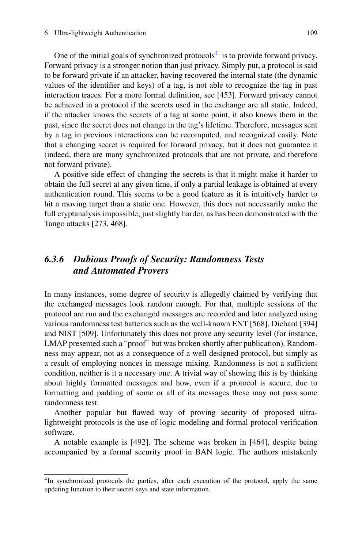One of the initial goals of synchronized protocols<sup>[4](#page-10-0)</sup> is to provide forward privacy. Forward privacy is a stronger notion than just privacy. Simply put, a protocol is said to be forward private if an attacker, having recovered the internal state (the dynamic values of the identifier and keys) of a tag, is not able to recognize the tag in past interaction traces. For a more formal definition, see [453]. Forward privacy cannot be achieved in a protocol if the secrets used in the exchange are all static. Indeed, if the attacker knows the secrets of a tag at some point, it also knows them in the past, since the secret does not change in the tag's lifetime. Therefore, messages sent by a tag in previous interactions can be recomputed, and recognized easily. Note that a changing secret is required for forward privacy, but it does not guarantee it (indeed, there are many synchronized protocols that are not private, and therefore not forward private).

A positive side effect of changing the secrets is that it might make it harder to obtain the full secret at any given time, if only a partial leakage is obtained at every authentication round. This seems to be a good feature as it is intuitively harder to hit a moving target than a static one. However, this does not necessarily make the full cryptanalysis impossible, just slightly harder, as has been demonstrated with the Tango attacks [273, 468].

# *6.3.6 Dubious Proofs of Security: Randomness Tests and Automated Provers*

In many instances, some degree of security is allegedly claimed by verifying that the exchanged messages look random enough. For that, multiple sessions of the protocol are run and the exchanged messages are recorded and later analyzed using various randomness test batteries such as the well-known ENT [568], Diehard [394] and NIST [509]. Unfortunately this does not prove any security level (for instance, LMAP presented such a "proof" but was broken shortly after publication). Randomness may appear, not as a consequence of a well designed protocol, but simply as a result of employing nonces in message mixing. Randomness is not a sufficient condition, neither is it a necessary one. A trivial way of showing this is by thinking about highly formatted messages and how, even if a protocol is secure, due to formatting and padding of some or all of its messages these may not pass some randomness test.

Another popular but flawed way of proving security of proposed ultralightweight protocols is the use of logic modeling and formal protocol verification software.

A notable example is [492]. The scheme was broken in [464], despite being accompanied by a formal security proof in BAN logic. The authors mistakenly

<span id="page-10-0"></span><sup>4</sup>In synchronized protocols the parties, after each execution of the protocol, apply the same updating function to their secret keys and state information.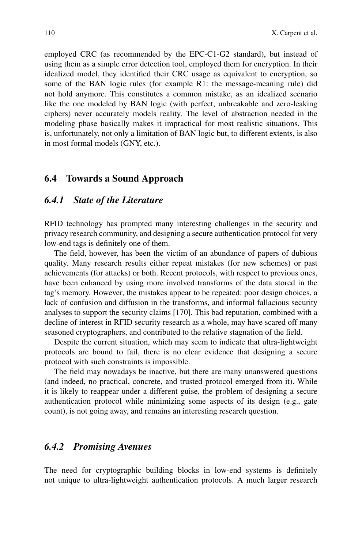employed CRC (as recommended by the EPC-C1-G2 standard), but instead of using them as a simple error detection tool, employed them for encryption. In their idealized model, they identified their CRC usage as equivalent to encryption, so some of the BAN logic rules (for example R1: the message-meaning rule) did not hold anymore. This constitutes a common mistake, as an idealized scenario like the one modeled by BAN logic (with perfect, unbreakable and zero-leaking ciphers) never accurately models reality. The level of abstraction needed in the modeling phase basically makes it impractical for most realistic situations. This is, unfortunately, not only a limitation of BAN logic but, to different extents, is also in most formal models (GNY, etc.).

#### <span id="page-11-0"></span>**6.4 Towards a Sound Approach**

#### *6.4.1 State of the Literature*

RFID technology has prompted many interesting challenges in the security and privacy research community, and designing a secure authentication protocol for very low-end tags is definitely one of them.

The field, however, has been the victim of an abundance of papers of dubious quality. Many research results either repeat mistakes (for new schemes) or past achievements (for attacks) or both. Recent protocols, with respect to previous ones, have been enhanced by using more involved transforms of the data stored in the tag's memory. However, the mistakes appear to be repeated: poor design choices, a lack of confusion and diffusion in the transforms, and informal fallacious security analyses to support the security claims [170]. This bad reputation, combined with a decline of interest in RFID security research as a whole, may have scared off many seasoned cryptographers, and contributed to the relative stagnation of the field.

Despite the current situation, which may seem to indicate that ultra-lightweight protocols are bound to fail, there is no clear evidence that designing a secure protocol with such constraints is impossible.

The field may nowadays be inactive, but there are many unanswered questions (and indeed, no practical, concrete, and trusted protocol emerged from it). While it is likely to reappear under a different guise, the problem of designing a secure authentication protocol while minimizing some aspects of its design (e.g., gate count), is not going away, and remains an interesting research question.

### *6.4.2 Promising Avenues*

The need for cryptographic building blocks in low-end systems is definitely not unique to ultra-lightweight authentication protocols. A much larger research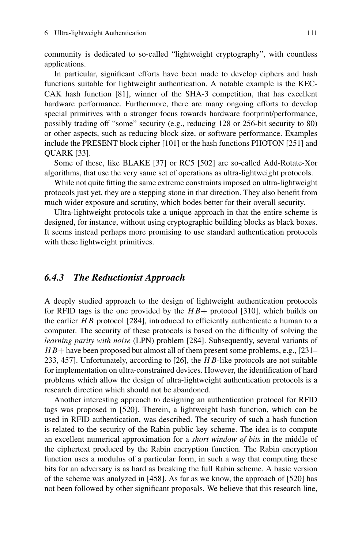community is dedicated to so-called "lightweight cryptography", with countless applications.

In particular, significant efforts have been made to develop ciphers and hash functions suitable for lightweight authentication. A notable example is the KEC-CAK hash function [81], winner of the SHA-3 competition, that has excellent hardware performance. Furthermore, there are many ongoing efforts to develop special primitives with a stronger focus towards hardware footprint/performance, possibly trading off "some" security (e.g., reducing 128 or 256-bit security to 80) or other aspects, such as reducing block size, or software performance. Examples include the PRESENT block cipher [101] or the hash functions PHOTON [251] and QUARK [33].

Some of these, like BLAKE [37] or RC5 [502] are so-called Add-Rotate-Xor algorithms, that use the very same set of operations as ultra-lightweight protocols.

While not quite fitting the same extreme constraints imposed on ultra-lightweight protocols just yet, they are a stepping stone in that direction. They also benefit from much wider exposure and scrutiny, which bodes better for their overall security.

Ultra-lightweight protocols take a unique approach in that the entire scheme is designed, for instance, without using cryptographic building blocks as black boxes. It seems instead perhaps more promising to use standard authentication protocols with these lightweight primitives.

#### *6.4.3 The Reductionist Approach*

A deeply studied approach to the design of lightweight authentication protocols for RFID tags is the one provided by the *HB*<sup>+</sup> protocol [310], which builds on the earlier *HB* protocol [284], introduced to efficiently authenticate a human to a computer. The security of these protocols is based on the difficulty of solving the *learning parity with noise* (LPN) problem [284]. Subsequently, several variants of *HB*<sup>+</sup> have been proposed but almost all of them present some problems, e.g., [231– 233, 457]. Unfortunately, according to [26], the *HB*-like protocols are not suitable for implementation on ultra-constrained devices. However, the identification of hard problems which allow the design of ultra-lightweight authentication protocols is a research direction which should not be abandoned.

Another interesting approach to designing an authentication protocol for RFID tags was proposed in [520]. Therein, a lightweight hash function, which can be used in RFID authentication, was described. The security of such a hash function is related to the security of the Rabin public key scheme. The idea is to compute an excellent numerical approximation for a *short window of bits* in the middle of the ciphertext produced by the Rabin encryption function. The Rabin encryption function uses a modulus of a particular form, in such a way that computing these bits for an adversary is as hard as breaking the full Rabin scheme. A basic version of the scheme was analyzed in [458]. As far as we know, the approach of [520] has not been followed by other significant proposals. We believe that this research line,